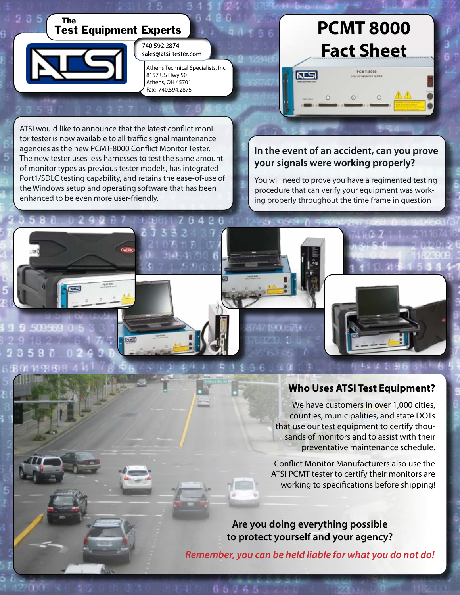

ATSI would like to announce that the latest conflict monitor tester is now available to all traffic signal maintenance agencies as the new PCMT-8000 Conflict Monitor Tester. The new tester uses less harnesses to test the same amount of monitor types as previous tester models, has integrated Port1/SDLC testing capability, and retains the ease-of-use of the Windows setup and operating software that has been enhanced to be even more user-friendly.

**ISBN** 

 $\overline{N}$ 

## **In the event of an accident, can you prove your signals were working properly?**

You will need to prove you have a regimented testing procedure that can verify your equipment was working properly throughout the time frame in question

## **Who Uses ATSI Test Equipment?**

We have customers in over 1,000 cities, counties, municipalities, and state DOTs that use our test equipment to certify thousands of monitors and to assist with their preventative maintenance schedule.

Conflict Monitor Manufacturers also use the ATSI PCMT tester to certify their monitors are working to specifications before shipping!

**Are you doing everything possible to protect yourself and your agency?** 

*Remember, you can be held liable for what you do not do!*